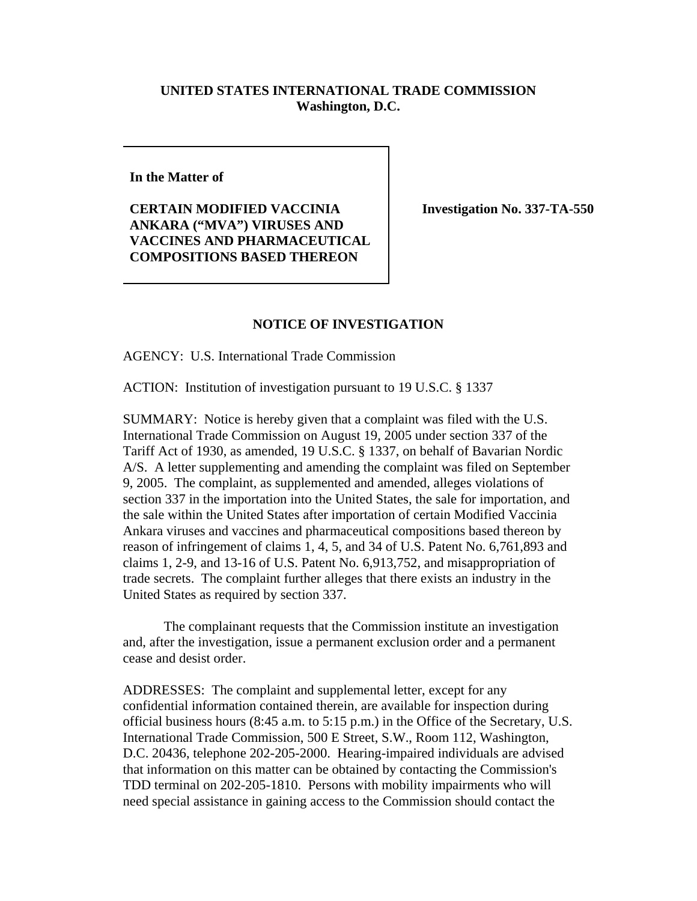## **UNITED STATES INTERNATIONAL TRADE COMMISSION Washington, D.C.**

**In the Matter of**

**CERTAIN MODIFIED VACCINIA ANKARA ("MVA") VIRUSES AND VACCINES AND PHARMACEUTICAL COMPOSITIONS BASED THEREON**

**Investigation No. 337-TA-550** 

## **NOTICE OF INVESTIGATION**

AGENCY: U.S. International Trade Commission

ACTION: Institution of investigation pursuant to 19 U.S.C. § 1337

SUMMARY: Notice is hereby given that a complaint was filed with the U.S. International Trade Commission on August 19, 2005 under section 337 of the Tariff Act of 1930, as amended, 19 U.S.C. § 1337, on behalf of Bavarian Nordic A/S. A letter supplementing and amending the complaint was filed on September 9, 2005. The complaint, as supplemented and amended, alleges violations of section 337 in the importation into the United States, the sale for importation, and the sale within the United States after importation of certain Modified Vaccinia Ankara viruses and vaccines and pharmaceutical compositions based thereon by reason of infringement of claims 1, 4, 5, and 34 of U.S. Patent No. 6,761,893 and claims 1, 2-9, and 13-16 of U.S. Patent No. 6,913,752, and misappropriation of trade secrets. The complaint further alleges that there exists an industry in the United States as required by section 337.

The complainant requests that the Commission institute an investigation and, after the investigation, issue a permanent exclusion order and a permanent cease and desist order.

ADDRESSES: The complaint and supplemental letter, except for any confidential information contained therein, are available for inspection during official business hours (8:45 a.m. to 5:15 p.m.) in the Office of the Secretary, U.S. International Trade Commission, 500 E Street, S.W., Room 112, Washington, D.C. 20436, telephone 202-205-2000. Hearing-impaired individuals are advised that information on this matter can be obtained by contacting the Commission's TDD terminal on 202-205-1810. Persons with mobility impairments who will need special assistance in gaining access to the Commission should contact the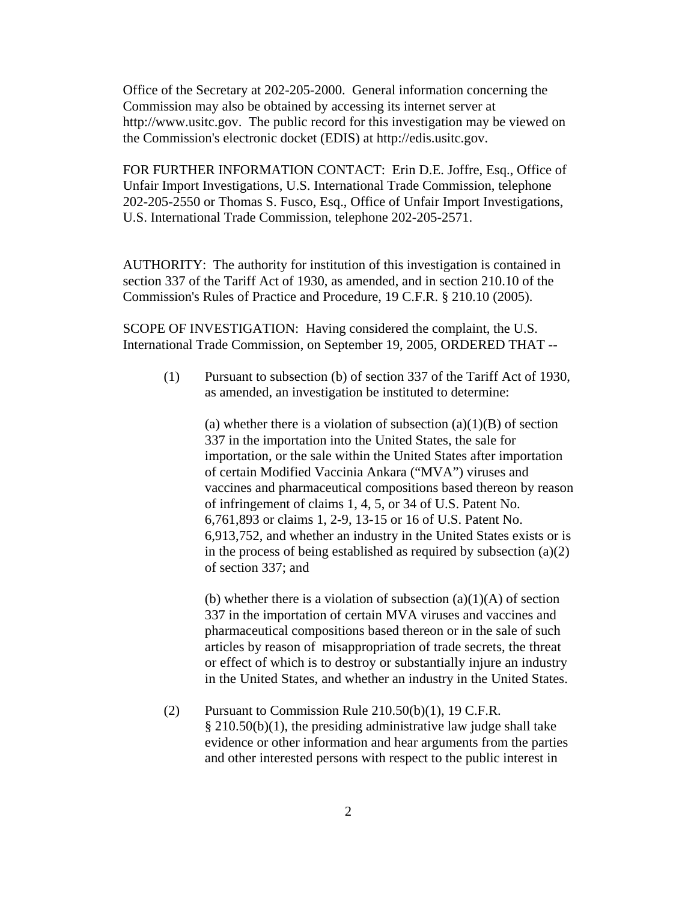Office of the Secretary at 202-205-2000. General information concerning the Commission may also be obtained by accessing its internet server at http://www.usitc.gov. The public record for this investigation may be viewed on the Commission's electronic docket (EDIS) at http://edis.usitc.gov.

FOR FURTHER INFORMATION CONTACT: Erin D.E. Joffre, Esq., Office of Unfair Import Investigations, U.S. International Trade Commission, telephone 202-205-2550 or Thomas S. Fusco, Esq., Office of Unfair Import Investigations, U.S. International Trade Commission, telephone 202-205-2571.

AUTHORITY: The authority for institution of this investigation is contained in section 337 of the Tariff Act of 1930, as amended, and in section 210.10 of the Commission's Rules of Practice and Procedure, 19 C.F.R. § 210.10 (2005).

SCOPE OF INVESTIGATION: Having considered the complaint, the U.S. International Trade Commission, on September 19, 2005, ORDERED THAT --

(1) Pursuant to subsection (b) of section 337 of the Tariff Act of 1930, as amended, an investigation be instituted to determine:

(a) whether there is a violation of subsection  $(a)(1)(B)$  of section 337 in the importation into the United States, the sale for importation, or the sale within the United States after importation of certain Modified Vaccinia Ankara ("MVA") viruses and vaccines and pharmaceutical compositions based thereon by reason of infringement of claims 1, 4, 5, or 34 of U.S. Patent No. 6,761,893 or claims 1, 2-9, 13-15 or 16 of U.S. Patent No. 6,913,752, and whether an industry in the United States exists or is in the process of being established as required by subsection  $(a)(2)$ of section 337; and

(b) whether there is a violation of subsection  $(a)(1)(A)$  of section 337 in the importation of certain MVA viruses and vaccines and pharmaceutical compositions based thereon or in the sale of such articles by reason of misappropriation of trade secrets, the threat or effect of which is to destroy or substantially injure an industry in the United States, and whether an industry in the United States.

(2) Pursuant to Commission Rule 210.50(b)(1), 19 C.F.R. § 210.50(b)(1), the presiding administrative law judge shall take evidence or other information and hear arguments from the parties and other interested persons with respect to the public interest in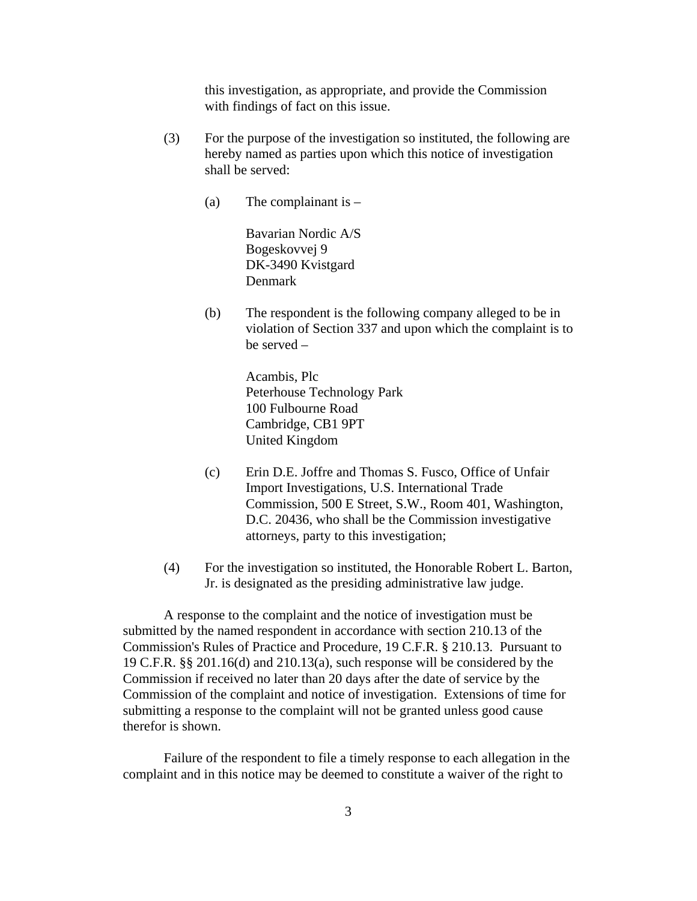this investigation, as appropriate, and provide the Commission with findings of fact on this issue.

- (3) For the purpose of the investigation so instituted, the following are hereby named as parties upon which this notice of investigation shall be served:
	- (a) The complainant is  $-$

Bavarian Nordic A/S Bogeskovvej 9 DK-3490 Kvistgard Denmark

(b) The respondent is the following company alleged to be in violation of Section 337 and upon which the complaint is to be served –

> Acambis, Plc Peterhouse Technology Park 100 Fulbourne Road Cambridge, CB1 9PT United Kingdom

- (c) Erin D.E. Joffre and Thomas S. Fusco, Office of Unfair Import Investigations, U.S. International Trade Commission, 500 E Street, S.W., Room 401, Washington, D.C. 20436, who shall be the Commission investigative attorneys, party to this investigation;
- (4) For the investigation so instituted, the Honorable Robert L. Barton, Jr. is designated as the presiding administrative law judge.

A response to the complaint and the notice of investigation must be submitted by the named respondent in accordance with section 210.13 of the Commission's Rules of Practice and Procedure, 19 C.F.R. § 210.13. Pursuant to 19 C.F.R. §§ 201.16(d) and 210.13(a), such response will be considered by the Commission if received no later than 20 days after the date of service by the Commission of the complaint and notice of investigation. Extensions of time for submitting a response to the complaint will not be granted unless good cause therefor is shown.

Failure of the respondent to file a timely response to each allegation in the complaint and in this notice may be deemed to constitute a waiver of the right to